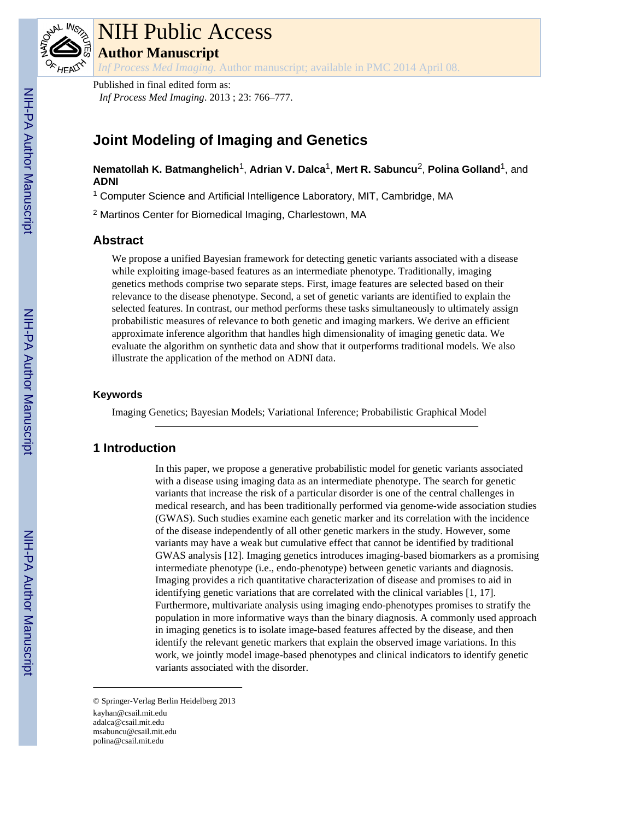

# NIH Public Access

**Author Manuscript**

*Inf Process Med Imaging*. Author manuscript; available in PMC 2014 April 08.

Published in final edited form as: *Inf Process Med Imaging*. 2013 ; 23: 766–777.

## **Joint Modeling of Imaging and Genetics**

**Nematollah K. Batmanghelich**1, **Adrian V. Dalca**1, **Mert R. Sabuncu**2, **Polina Golland**1, and **ADNI**

<sup>1</sup> Computer Science and Artificial Intelligence Laboratory, MIT, Cambridge, MA

2 Martinos Center for Biomedical Imaging, Charlestown, MA

## **Abstract**

We propose a unified Bayesian framework for detecting genetic variants associated with a disease while exploiting image-based features as an intermediate phenotype. Traditionally, imaging genetics methods comprise two separate steps. First, image features are selected based on their relevance to the disease phenotype. Second, a set of genetic variants are identified to explain the selected features. In contrast, our method performs these tasks simultaneously to ultimately assign probabilistic measures of relevance to both genetic and imaging markers. We derive an efficient approximate inference algorithm that handles high dimensionality of imaging genetic data. We evaluate the algorithm on synthetic data and show that it outperforms traditional models. We also illustrate the application of the method on ADNI data.

### **Keywords**

Imaging Genetics; Bayesian Models; Variational Inference; Probabilistic Graphical Model

## **1 Introduction**

In this paper, we propose a generative probabilistic model for genetic variants associated with a disease using imaging data as an intermediate phenotype. The search for genetic variants that increase the risk of a particular disorder is one of the central challenges in medical research, and has been traditionally performed via genome-wide association studies (GWAS). Such studies examine each genetic marker and its correlation with the incidence of the disease independently of all other genetic markers in the study. However, some variants may have a weak but cumulative effect that cannot be identified by traditional GWAS analysis [12]. Imaging genetics introduces imaging-based biomarkers as a promising intermediate phenotype (i.e., endo-phenotype) between genetic variants and diagnosis. Imaging provides a rich quantitative characterization of disease and promises to aid in identifying genetic variations that are correlated with the clinical variables [1, 17]. Furthermore, multivariate analysis using imaging endo-phenotypes promises to stratify the population in more informative ways than the binary diagnosis. A commonly used approach in imaging genetics is to isolate image-based features affected by the disease, and then identify the relevant genetic markers that explain the observed image variations. In this work, we jointly model image-based phenotypes and clinical indicators to identify genetic variants associated with the disorder.

<sup>©</sup> Springer-Verlag Berlin Heidelberg 2013 kayhan@csail.mit.edu

adalca@csail.mit.edu

msabuncu@csail.mit.edu polina@csail.mit.edu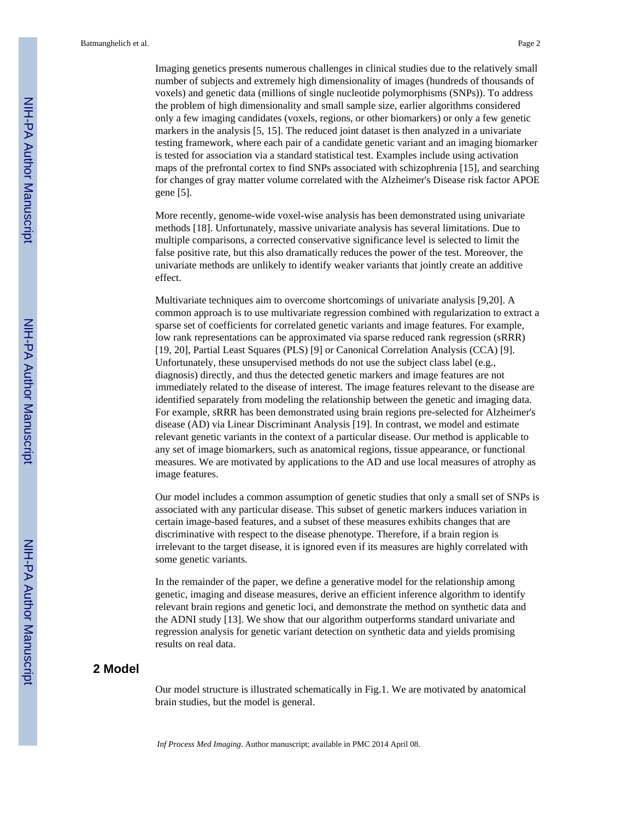Imaging genetics presents numerous challenges in clinical studies due to the relatively small number of subjects and extremely high dimensionality of images (hundreds of thousands of voxels) and genetic data (millions of single nucleotide polymorphisms (SNPs)). To address the problem of high dimensionality and small sample size, earlier algorithms considered only a few imaging candidates (voxels, regions, or other biomarkers) or only a few genetic markers in the analysis [5, 15]. The reduced joint dataset is then analyzed in a univariate testing framework, where each pair of a candidate genetic variant and an imaging biomarker is tested for association via a standard statistical test. Examples include using activation maps of the prefrontal cortex to find SNPs associated with schizophrenia [15], and searching for changes of gray matter volume correlated with the Alzheimer's Disease risk factor APOE gene [5].

More recently, genome-wide voxel-wise analysis has been demonstrated using univariate methods [18]. Unfortunately, massive univariate analysis has several limitations. Due to multiple comparisons, a corrected conservative significance level is selected to limit the false positive rate, but this also dramatically reduces the power of the test. Moreover, the univariate methods are unlikely to identify weaker variants that jointly create an additive effect.

Multivariate techniques aim to overcome shortcomings of univariate analysis [9,20]. A common approach is to use multivariate regression combined with regularization to extract a sparse set of coefficients for correlated genetic variants and image features. For example, low rank representations can be approximated via sparse reduced rank regression (sRRR) [19, 20], Partial Least Squares (PLS) [9] or Canonical Correlation Analysis (CCA) [9]. Unfortunately, these unsupervised methods do not use the subject class label (e.g., diagnosis) directly, and thus the detected genetic markers and image features are not immediately related to the disease of interest. The image features relevant to the disease are identified separately from modeling the relationship between the genetic and imaging data. For example, sRRR has been demonstrated using brain regions pre-selected for Alzheimer's disease (AD) via Linear Discriminant Analysis [19]. In contrast, we model and estimate relevant genetic variants in the context of a particular disease. Our method is applicable to any set of image biomarkers, such as anatomical regions, tissue appearance, or functional measures. We are motivated by applications to the AD and use local measures of atrophy as image features.

Our model includes a common assumption of genetic studies that only a small set of SNPs is associated with any particular disease. This subset of genetic markers induces variation in certain image-based features, and a subset of these measures exhibits changes that are discriminative with respect to the disease phenotype. Therefore, if a brain region is irrelevant to the target disease, it is ignored even if its measures are highly correlated with some genetic variants.

In the remainder of the paper, we define a generative model for the relationship among genetic, imaging and disease measures, derive an efficient inference algorithm to identify relevant brain regions and genetic loci, and demonstrate the method on synthetic data and the ADNI study [13]. We show that our algorithm outperforms standard univariate and regression analysis for genetic variant detection on synthetic data and yields promising results on real data.

### **2 Model**

Our model structure is illustrated schematically in Fig.1. We are motivated by anatomical brain studies, but the model is general.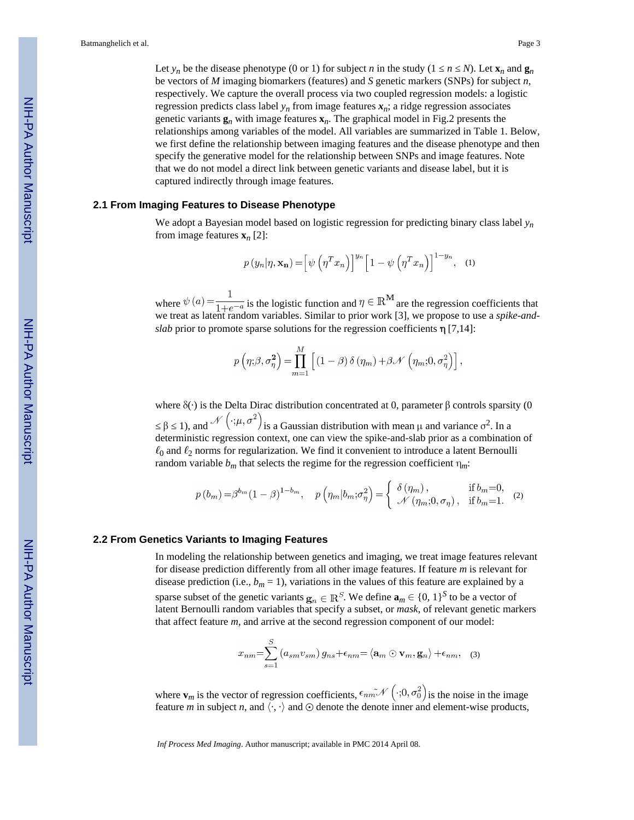Let  $y_n$  be the disease phenotype (0 or 1) for subject *n* in the study (1  $n \times N$ ). Let  $\mathbf{x}_n$  and  $\mathbf{g}_n$ be vectors of *M* imaging biomarkers (features) and *S* genetic markers (SNPs) for subject *n*, respectively. We capture the overall process via two coupled regression models: a logistic regression predicts class label  $y_n$  from image features  $x_n$ ; a ridge regression associates genetic variants  $\mathbf{g}_n$  with image features  $\mathbf{x}_n$ . The graphical model in Fig.2 presents the relationships among variables of the model. All variables are summarized in Table 1. Below, we first define the relationship between imaging features and the disease phenotype and then specify the generative model for the relationship between SNPs and image features. Note that we do not model a direct link between genetic variants and disease label, but it is captured indirectly through image features.

#### **2.1 From Imaging Features to Disease Phenotype**

We adopt a Bayesian model based on logistic regression for predicting binary class label *y<sup>n</sup>* from image features **x***n* [2]:

$$
p(y_n|\eta, \mathbf{x_n}) = \left[\psi\left(\eta^T x_n\right)\right]^{y_n} \left[1 - \psi\left(\eta^T x_n\right)\right]^{1 - y_n}, \quad (1)
$$

where  $\psi(a) = \frac{1}{1+e^{-a}}$  is the logistic function and  $\eta \in \mathbb{R}^{\mathbf{M}}$  are the regression coefficients that we treat as latent random variables. Similar to prior work [3], we propose to use a *spike-andslab* prior to promote sparse solutions for the regression coefficients η [7,14]:

$$
p\left(\eta;\beta,\sigma_{\eta}^{2}\right) = \prod_{m=1}^{M} \left[ \left(1-\beta\right)\delta\left(\eta_{m}\right) + \beta\mathcal{N}\left(\eta_{m};0,\sigma_{\eta}^{2}\right) \right],
$$

where  $\delta(\cdot)$  is the Delta Dirac distribution concentrated at 0, parameter  $\beta$  controls sparsity (0)  $\beta$  1), and <sup>N</sup> ( $\beta$ <sup>+, σ<sup>-</sup>) is a Gaussian distribution with mean μ and variance σ<sup>2</sup>. In a</sup> deterministic regression context, one can view the spike-and-slab prior as a combination of  $\ell_0$  and  $\ell_2$  norms for regularization. We find it convenient to introduce a latent Bernoulli random variable  $b_m$  that selects the regime for the regression coefficient  $\eta_m$ :

$$
p(b_m) = \beta^{b_m} (1 - \beta)^{1 - b_m}, \quad p\left(\eta_m | b_m; \sigma_\eta^2\right) = \begin{cases} \delta\left(\eta_m\right), & \text{if } b_m = 0, \\ \mathcal{N}\left(\eta_m; 0, \sigma_\eta\right), & \text{if } b_m = 1. \end{cases} \tag{2}
$$

#### **2.2 From Genetics Variants to Imaging Features**

In modeling the relationship between genetics and imaging, we treat image features relevant for disease prediction differently from all other image features. If feature *m* is relevant for disease prediction (i.e.,  $b_m = 1$ ), variations in the values of this feature are explained by a sparse subset of the genetic variants  $\mathbf{g}_n \in \mathbb{R}^S$ . We define  $\mathbf{a}_m \in \{0, 1\}^S$  to be a vector of latent Bernoulli random variables that specify a subset, or *mask*, of relevant genetic markers that affect feature *m*, and arrive at the second regression component of our model:

$$
x_{nm} = \sum_{s=1}^{S} (a_{sm}v_{sm}) g_{ns} + \epsilon_{nm} = \langle \mathbf{a}_m \odot \mathbf{v}_m, \mathbf{g}_n \rangle + \epsilon_{nm}, \quad (3)
$$

where  $\mathbf{v}_m$  is the vector of regression coefficients,  $\epsilon_{nm} \mathcal{N}(\cdot; 0, \sigma_0^2)$  is the noise in the image feature *m* in subject *n*, and  $\langle \cdot, \cdot \rangle$  and  $\odot$  denote the denote inner and element-wise products,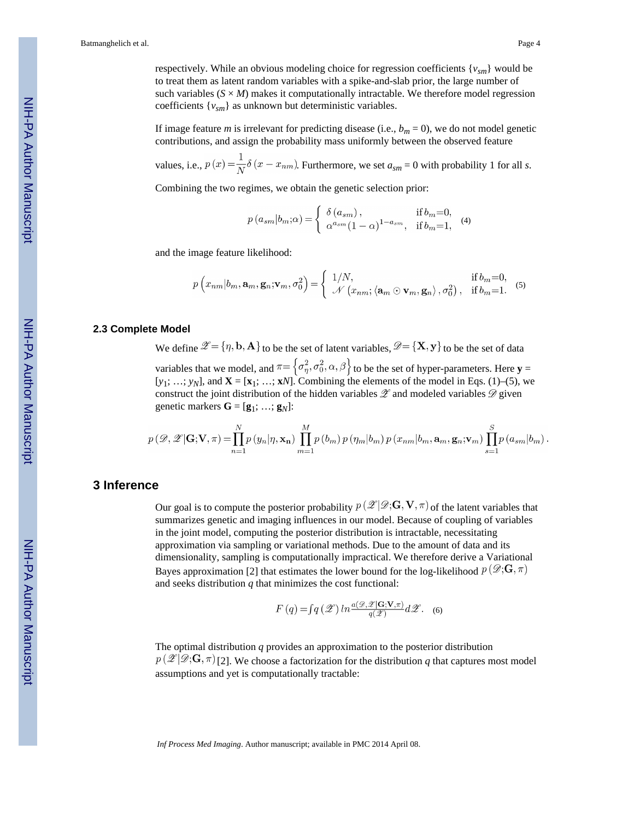respectively. While an obvious modeling choice for regression coefficients {*vsm*} would be to treat them as latent random variables with a spike-and-slab prior, the large number of such variables  $(S \times M)$  makes it computationally intractable. We therefore model regression coefficients  $\{v_{sm}\}\$ as unknown but deterministic variables.

If image feature *m* is irrelevant for predicting disease (i.e.,  $b_m = 0$ ), we do not model genetic contributions, and assign the probability mass uniformly between the observed feature

values, i.e.,  $p(x) = \frac{1}{N} \delta(x - x_{nm})$ . Furthermore, we set  $a_{sm} = 0$  with probability 1 for all *s*.

Combining the two regimes, we obtain the genetic selection prior:

$$
p(a_{sm}|b_m;\alpha) = \begin{cases} \delta(a_{sm}), & \text{if } b_m=0, \\ \alpha^{a_{sm}}(1-\alpha)^{1-a_{sm}}, & \text{if } b_m=1, \end{cases}
$$
 (4)

and the image feature likelihood:

$$
p\left(x_{nm}|b_m,\mathbf{a}_m,\mathbf{g}_n;\mathbf{v}_m,\sigma_0^2\right) = \begin{cases} 1/N, & \text{if } b_m=0,\\ \mathcal{N}\left(x_{nm};\langle\mathbf{a}_m\odot\mathbf{v}_m,\mathbf{g}_n\rangle,\sigma_0^2\right), & \text{if } b_m=1. \end{cases}
$$
 (5)

#### **2.3 Complete Model**

We define  $\mathscr{Z} = \{\eta, \mathbf{b}, \mathbf{A}\}$  to be the set of latent variables,  $\mathscr{D} = \{\mathbf{X}, \mathbf{y}\}$  to be the set of data variables that we model, and  $\pi = \{\sigma_n^2, \sigma_0^2, \alpha, \beta\}$  to be the set of hyper-parameters. Here **y** =  $[y_1; \ldots; y_N]$ , and  $\mathbf{X} = [\mathbf{x}_1; \ldots; \mathbf{x}_N]$ . Combining the elements of the model in Eqs. (1)–(5), we construct the joint distribution of the hidden variables  $\mathscr X$  and modeled variables  $\mathscr D$  given genetic markers  $\mathbf{G} = [\mathbf{g}_1; \dots; \mathbf{g}_N]$ :

$$
p(\mathscr{D},\mathscr{Z}|\mathbf{G};\mathbf{V},\pi) = \prod_{n=1}^{N} p(y_n|\eta,\mathbf{x_n}) \prod_{m=1}^{M} p(b_m) p(\eta_m|b_m) p(x_{nm}|b_m,\mathbf{a}_m,\mathbf{g}_n;\mathbf{v}_m) \prod_{s=1}^{S} p(a_{sm}|b_m).
$$

## **3 Inference**

Our goal is to compute the posterior probability  $p(\mathscr{L}|\mathscr{D}; G, V, \pi)$  of the latent variables that summarizes genetic and imaging influences in our model. Because of coupling of variables in the joint model, computing the posterior distribution is intractable, necessitating approximation via sampling or variational methods. Due to the amount of data and its dimensionality, sampling is computationally impractical. We therefore derive a Variational Bayes approximation [2] that estimates the lower bound for the log-likelihood  $p(\mathscr{D};\mathbf{G},\pi)$ and seeks distribution  $q$  that minimizes the cost functional:

$$
F(q) = \int q(\mathscr{Z}) \ln \frac{a(\mathscr{D}, \mathscr{Z}|\mathbf{G}; \mathbf{V}, \pi)}{q(\mathscr{Z})} d\mathscr{Z}.
$$
 (6)

The optimal distribution *q* provides an approximation to the posterior distribution  $p(\mathscr{L}|\mathscr{D}; G, \pi)$  [2]. We choose a factorization for the distribution *q* that captures most model assumptions and yet is computationally tractable: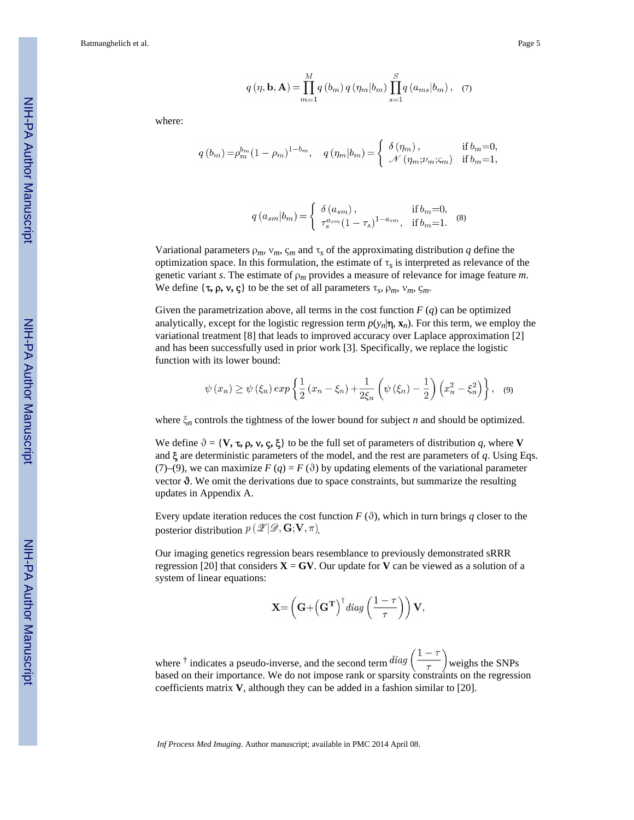$$
q(\eta, \mathbf{b}, \mathbf{A}) = \prod_{m=1}^{M} q(b_m) q(\eta_m | b_m) \prod_{s=1}^{S} q(a_{ms} | b_m),
$$
 (7)

where:

$$
q(b_m) = \rho_m^{b_m} (1 - \rho_m)^{1 - b_m}, \quad q(\eta_m | b_m) = \begin{cases} \delta(\eta_m), & \text{if } b_m = 0, \\ \mathcal{N}(\eta_m; \nu_m; \varsigma_m) & \text{if } b_m = 1, \end{cases}
$$

$$
q(a_{sm}|b_m) = \begin{cases} \delta(a_{sm}), & \text{if } b_m = 0, \\ \tau_s^{a_{sm}} (1 - \tau_s)^{1 - a_{sm}}, & \text{if } b_m = 1. \end{cases}
$$
 (8)

Variational parameters  $\rho_m$ ,  $v_m$ ,  $\varsigma_m$  and  $\tau_s$  of the approximating distribution *q* define the optimization space. In this formulation, the estimate of  $\tau_s$  is interpreted as relevance of the genetic variant *s*. The estimate of ρ*m* provides a measure of relevance for image feature *m*. We define  $\{\tau, \rho, \nu, \varsigma\}$  to be the set of all parameters  $\tau_s$ ,  $\rho_m$ ,  $\nu_m$ ,  $\varsigma_m$ .

Given the parametrization above, all terms in the cost function  $F(q)$  can be optimized analytically, except for the logistic regression term  $p(y_n|\eta, x_n)$ . For this term, we employ the variational treatment [8] that leads to improved accuracy over Laplace approximation [2] and has been successfully used in prior work [3]. Specifically, we replace the logistic function with its lower bound:

$$
\psi(x_n) \ge \psi(\xi_n) \exp\left\{\frac{1}{2}\left(x_n - \xi_n\right) + \frac{1}{2\xi_n}\left(\psi(\xi_n) - \frac{1}{2}\right)\left(x_n^2 - \xi_n^2\right)\right\}, \quad (9)
$$

where ξ*n* controls the tightness of the lower bound for subject *n* and should be optimized.

We define  $\vartheta = \{V, \tau, \rho, v, \zeta, \xi\}$  to be the full set of parameters of distribution *q*, where **V** and ξ are deterministic parameters of the model, and the rest are parameters of *q*. Using Eqs. (7)–(9), we can maximize  $F(q) = F(3)$  by updating elements of the variational parameter vector  $\vartheta$ . We omit the derivations due to space constraints, but summarize the resulting updates in Appendix A.

Every update iteration reduces the cost function  $F(\vartheta)$ , which in turn brings *q* closer to the posterior distribution  $p(\mathscr{L}|\mathscr{D},\mathbf{G};\mathbf{V},\pi)$ .

Our imaging genetics regression bears resemblance to previously demonstrated sRRR regression [20] that considers  $X = GV$ . Our update for **V** can be viewed as a solution of a system of linear equations:

$$
\mathbf{X} = \left(\mathbf{G} + \left(\mathbf{G}^{\mathrm{T}}\right)^{\dagger} diag\left(\frac{1-\tau}{\tau}\right)\right)\mathbf{V},
$$

where  $\dagger$  indicates a pseudo-inverse, and the second term  $diag\left(\frac{\pi}{\tau}\right)$  weighs the SNPs based on their importance. We do not impose rank or sparsity constraints on the regression coefficients matrix **V**, although they can be added in a fashion similar to [20].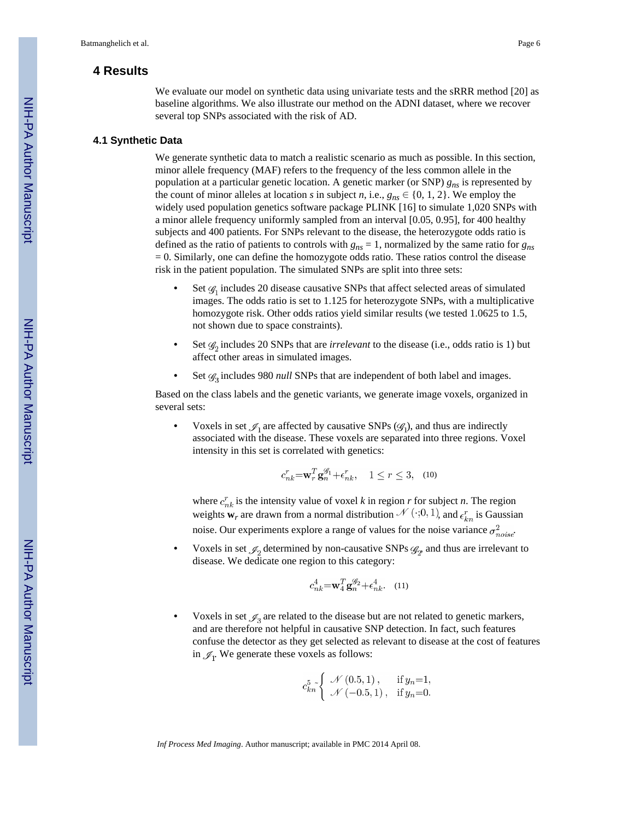## **4 Results**

We evaluate our model on synthetic data using univariate tests and the sRRR method [20] as baseline algorithms. We also illustrate our method on the ADNI dataset, where we recover several top SNPs associated with the risk of AD.

#### **4.1 Synthetic Data**

We generate synthetic data to match a realistic scenario as much as possible. In this section, minor allele frequency (MAF) refers to the frequency of the less common allele in the population at a particular genetic location. A genetic marker (or SNP) *gns* is represented by the count of minor alleles at location *s* in subject *n*, i.e.,  $g_{ns} \in \{0, 1, 2\}$ . We employ the widely used population genetics software package PLINK [16] to simulate 1,020 SNPs with a minor allele frequency uniformly sampled from an interval [0.05, 0.95], for 400 healthy subjects and 400 patients. For SNPs relevant to the disease, the heterozygote odds ratio is defined as the ratio of patients to controls with  $g_{ns} = 1$ , normalized by the same ratio for  $g_{ns}$  $= 0$ . Similarly, one can define the homozygote odds ratio. These ratios control the disease risk in the patient population. The simulated SNPs are split into three sets:

- Set  $\mathcal{G}_1$  includes 20 disease causative SNPs that affect selected areas of simulated images. The odds ratio is set to 1.125 for heterozygote SNPs, with a multiplicative homozygote risk. Other odds ratios yield similar results (we tested 1.0625 to 1.5, not shown due to space constraints).
- Set  $\mathcal{G}_2$  includes 20 SNPs that are *irrelevant* to the disease (i.e., odds ratio is 1) but affect other areas in simulated images.
- Set  $\mathcal{G}_3$  includes 980 *null* SNPs that are independent of both label and images.

Based on the class labels and the genetic variants, we generate image voxels, organized in several sets:

Voxels in set  $\mathcal{I}_1$  are affected by causative SNPs ( $\mathcal{G}_1$ ), and thus are indirectly associated with the disease. These voxels are separated into three regions. Voxel intensity in this set is correlated with genetics:

$$
c_{nk}^r = \mathbf{w}_r^T \mathbf{g}_n^{\mathcal{G}_1} + \epsilon_{nk}^r, \quad 1 \le r \le 3, \quad (10)
$$

where  $c_{nk}^r$  is the intensity value of voxel *k* in region *r* for subject *n*. The region weights  $w_r$  are drawn from a normal distribution  $\mathcal{N}(\cdot;0,1)$ , and  $\epsilon_{kn}^r$  is Gaussian noise. Our experiments explore a range of values for the noise variance  $\sigma_{noise}^2$ .

Voxels in set  $\mathcal{I}_2$  determined by non-causative SNPs  $\mathcal{G}_2$ , and thus are irrelevant to disease. We dedicate one region to this category:

$$
c_{nk}^4 = \mathbf{w}_4^T \mathbf{g}_n^{\mathcal{G}_2} + \epsilon_{nk}^4. \quad (11)
$$

Voxels in set  $\mathcal{I}_3$  are related to the disease but are not related to genetic markers, and are therefore not helpful in causative SNP detection. In fact, such features confuse the detector as they get selected as relevant to disease at the cost of features in  $\mathcal{I}_1$ . We generate these voxels as follows:

$$
c_{kn}^{5} \begin{cases} \mathcal{N}(0.5, 1), & \text{if } y_n = 1, \\ \mathcal{N}(-0.5, 1), & \text{if } y_n = 0. \end{cases}
$$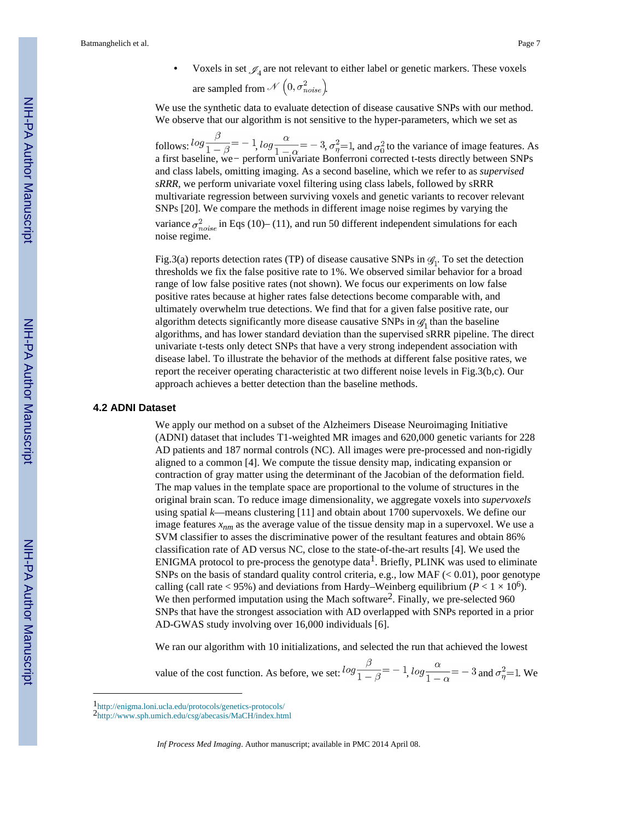Voxels in set  $\mathcal{I}_4$  are not relevant to either label or genetic markers. These voxels are sampled from  $\mathcal{N}\left(0, \sigma_{noise}^2\right)$ .

We use the synthetic data to evaluate detection of disease causative SNPs with our method. We observe that our algorithm is not sensitive to the hyper-parameters, which we set as

follows:  $log\frac{1}{1-\beta} = -1$ ,  $log\frac{1}{1-\beta} = -3$ ,  $\sigma_n^2 = 1$ , and  $\sigma_0^2$  to the variance of image features. As a first baseline, we*−* perform univariate Bonferroni corrected t-tests directly between SNPs and class labels, omitting imaging. As a second baseline, which we refer to as *supervised sRRR*, we perform univariate voxel filtering using class labels, followed by sRRR multivariate regression between surviving voxels and genetic variants to recover relevant SNPs [20]. We compare the methods in different image noise regimes by varying the variance  $\sigma_{noise}^2$  in Eqs (10)– (11), and run 50 different independent simulations for each noise regime.

Fig.3(a) reports detection rates (TP) of disease causative SNPs in  $\mathscr{G}_1$ . To set the detection thresholds we fix the false positive rate to 1%. We observed similar behavior for a broad range of low false positive rates (not shown). We focus our experiments on low false positive rates because at higher rates false detections become comparable with, and ultimately overwhelm true detections. We find that for a given false positive rate, our algorithm detects significantly more disease causative SNPs in  $\mathcal{G}_1$  than the baseline algorithms, and has lower standard deviation than the supervised sRRR pipeline. The direct univariate t-tests only detect SNPs that have a very strong independent association with disease label. To illustrate the behavior of the methods at different false positive rates, we report the receiver operating characteristic at two different noise levels in Fig.3(b,c). Our approach achieves a better detection than the baseline methods.

#### **4.2 ADNI Dataset**

We apply our method on a subset of the Alzheimers Disease Neuroimaging Initiative (ADNI) dataset that includes T1-weighted MR images and 620,000 genetic variants for 228 AD patients and 187 normal controls (NC). All images were pre-processed and non-rigidly aligned to a common [4]. We compute the tissue density map, indicating expansion or contraction of gray matter using the determinant of the Jacobian of the deformation field. The map values in the template space are proportional to the volume of structures in the original brain scan. To reduce image dimensionality, we aggregate voxels into *supervoxels* using spatial *k*—means clustering [11] and obtain about 1700 supervoxels. We define our image features *xnm* as the average value of the tissue density map in a supervoxel. We use a SVM classifier to asses the discriminative power of the resultant features and obtain 86% classification rate of AD versus NC, close to the state-of-the-art results [4]. We used the ENIGMA protocol to pre-process the genotype data<sup>1</sup>. Briefly, PLINK was used to eliminate SNPs on the basis of standard quality control criteria, e.g., low MAF  $(< 0.01$ ), poor genotype calling (call rate < 95%) and deviations from Hardy–Weinberg equilibrium ( $P < 1 \times 10^6$ ). We then performed imputation using the Mach software<sup>2</sup>. Finally, we pre-selected 960 SNPs that have the strongest association with AD overlapped with SNPs reported in a prior AD-GWAS study involving over 16,000 individuals [6].

We ran our algorithm with 10 initializations, and selected the run that achieved the lowest

value of the cost function. As before, we set:  $\log \frac{\beta}{1-\beta} = -1$ ,  $\log \frac{\alpha}{1-\alpha} = -3$  and  $\sigma_{\eta}^2 = 1$ . We

<sup>1</sup><http://enigma.loni.ucla.edu/protocols/genetics-protocols/>

<sup>2</sup><http://www.sph.umich.edu/csg/abecasis/MaCH/index.html>

*Inf Process Med Imaging*. Author manuscript; available in PMC 2014 April 08.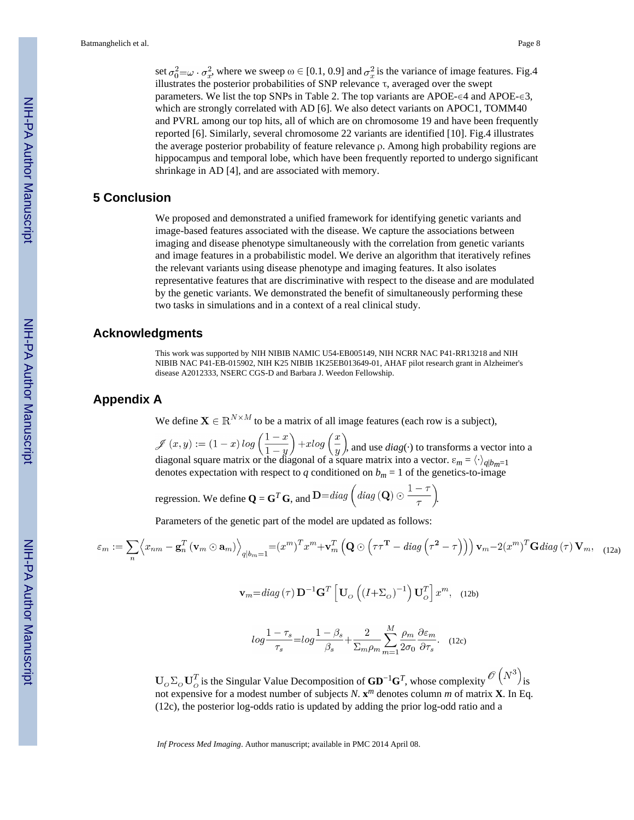set  $\sigma_0^2 = \omega \cdot \sigma_x^2$ , where we sweep  $\omega \in [0.1, 0.9]$  and  $\sigma_x^2$  is the variance of image features. Fig.4 illustrates the posterior probabilities of SNP relevance  $\tau$ , averaged over the swept parameters. We list the top SNPs in Table 2. The top variants are APOE- $\in$ 4 and APOE- $\in$ 3, which are strongly correlated with AD [6]. We also detect variants on APOC1, TOMM40 and PVRL among our top hits, all of which are on chromosome 19 and have been frequently reported [6]. Similarly, several chromosome 22 variants are identified [10]. Fig.4 illustrates the average posterior probability of feature relevance ρ. Among high probability regions are hippocampus and temporal lobe, which have been frequently reported to undergo significant shrinkage in AD [4], and are associated with memory.

## **5 Conclusion**

We proposed and demonstrated a unified framework for identifying genetic variants and image-based features associated with the disease. We capture the associations between imaging and disease phenotype simultaneously with the correlation from genetic variants and image features in a probabilistic model. We derive an algorithm that iteratively refines the relevant variants using disease phenotype and imaging features. It also isolates representative features that are discriminative with respect to the disease and are modulated by the genetic variants. We demonstrated the benefit of simultaneously performing these two tasks in simulations and in a context of a real clinical study.

## **Acknowledgments**

This work was supported by NIH NIBIB NAMIC U54-EB005149, NIH NCRR NAC P41-RR13218 and NIH NIBIB NAC P41-EB-015902, NIH K25 NIBIB 1K25EB013649-01, AHAF pilot research grant in Alzheimer's disease A2012333, NSERC CGS-D and Barbara J. Weedon Fellowship.

## **Appendix A**

We define  $\mathbf{X} \in \mathbb{R}^{N \times M}$  to be a matrix of all image features (each row is a subject),

, and use *diag*(·) to transforms a vector into a diagonal square matrix or the diagonal of a square matrix into a vector.  $\varepsilon_m = \langle \cdot \rangle_{q|b_m=1}$ denotes expectation with respect to  $q$  conditioned on  $b_m = 1$  of the genetics-to-image

regression. We define  $\mathbf{Q} = \mathbf{G}^T \mathbf{G}$ , and  $\mathbf{D} = diag \left( diag \left( \mathbf{Q} \right) \odot \frac{1-\tau}{\tau} \right)$ .

Parameters of the genetic part of the model are updated as follows:

$$
\varepsilon_m := \sum_n \left\langle x_{nm} - \mathbf{g}_n^T \left( \mathbf{v}_m \odot \mathbf{a}_m \right) \right\rangle_{q|b_m=1} = \left( x^m \right)^T x^m + \mathbf{v}_m^T \left( \mathbf{Q} \odot \left( \tau \tau^T - \text{diag} \left( \tau^2 - \tau \right) \right) \right) \mathbf{v}_m - 2 \left( x^m \right)^T \mathbf{G} \, \text{diag} \left( \tau \right) \mathbf{V}_m, \tag{12a}
$$

$$
\mathbf{v}_{m} = diag\left(\tau\right) \mathbf{D}^{-1} \mathbf{G}^{T} \left[ \mathbf{U}_{O} \left( \left( I + \Sigma_{O} \right)^{-1} \right) \mathbf{U}_{O}^{T} \right] x^{m}, \quad (12b)
$$

$$
log\frac{1-\tau_s}{\tau_s} = log\frac{1-\beta_s}{\beta_s} + \frac{2}{\Sigma_m \rho_m} \sum_{m=1}^{M} \frac{\rho_m}{2\sigma_0} \frac{\partial \varepsilon_m}{\partial \tau_s}.
$$
 (12c)

 $U_o \Sigma_o U_o^T$  is the Singular Value Decomposition of  $GD^{-1}G^T$ , whose complexity  $\mathscr{O}(N^3)$  is not expensive for a modest number of subjects *N*.  $\mathbf{x}^m$  denotes column *m* of matrix **X**. In Eq. (12c), the posterior log-odds ratio is updated by adding the prior log-odd ratio and a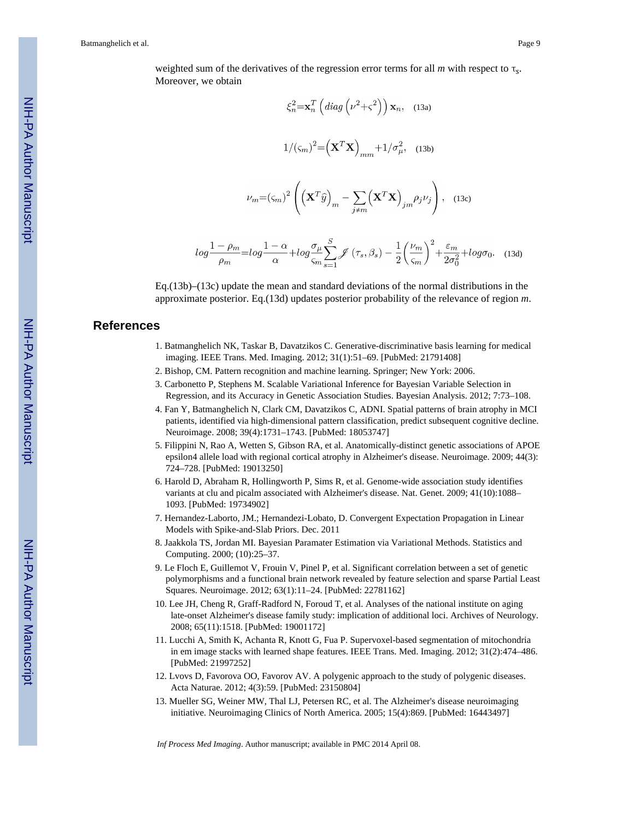weighted sum of the derivatives of the regression error terms for all *m* with respect to τ*<sup>s</sup>* . Moreover, we obtain

$$
\xi_n^2 = \mathbf{x}_n^T \left( diag \left( \nu^2 + \varsigma^2 \right) \right) \mathbf{x}_n, \quad (13a)
$$

$$
1/(\varsigma_m)^2 = \left( \mathbf{X}^T \mathbf{X} \right)_{mm} + 1/\sigma_\mu^2, \quad (13b)
$$

$$
\nu_m = (\varsigma_m)^2 \left( \left( \mathbf{X}^T \hat{y} \right)_m - \sum_{j \neq m} \left( \mathbf{X}^T \mathbf{X} \right)_{jm} \rho_j \nu_j \right), \quad (13c)
$$

$$
log\frac{1-\rho_m}{\rho_m}=log\frac{1-\alpha}{\alpha}+log\frac{\sigma_\mu}{\zeta_m}\sum_{s=1}^S\mathcal{J}\left(\tau_s,\beta_s\right)-\frac{1}{2}\left(\frac{\nu_m}{\zeta_m}\right)^2+\frac{\varepsilon_m}{2\sigma_0^2}+log\sigma_0.
$$
 (13d)

Eq.(13b)–(13c) update the mean and standard deviations of the normal distributions in the approximate posterior. Eq.(13d) updates posterior probability of the relevance of region *m*.

#### **References**

- 1. Batmanghelich NK, Taskar B, Davatzikos C. Generative-discriminative basis learning for medical imaging. IEEE Trans. Med. Imaging. 2012; 31(1):51–69. [PubMed: 21791408]
- 2. Bishop, CM. Pattern recognition and machine learning. Springer; New York: 2006.
- 3. Carbonetto P, Stephens M. Scalable Variational Inference for Bayesian Variable Selection in Regression, and its Accuracy in Genetic Association Studies. Bayesian Analysis. 2012; 7:73–108.
- 4. Fan Y, Batmanghelich N, Clark CM, Davatzikos C, ADNI. Spatial patterns of brain atrophy in MCI patients, identified via high-dimensional pattern classification, predict subsequent cognitive decline. Neuroimage. 2008; 39(4):1731–1743. [PubMed: 18053747]
- 5. Filippini N, Rao A, Wetten S, Gibson RA, et al. Anatomically-distinct genetic associations of APOE epsilon4 allele load with regional cortical atrophy in Alzheimer's disease. Neuroimage. 2009; 44(3): 724–728. [PubMed: 19013250]
- 6. Harold D, Abraham R, Hollingworth P, Sims R, et al. Genome-wide association study identifies variants at clu and picalm associated with Alzheimer's disease. Nat. Genet. 2009; 41(10):1088– 1093. [PubMed: 19734902]
- 7. Hernandez-Laborto, JM.; Hernandezi-Lobato, D. Convergent Expectation Propagation in Linear Models with Spike-and-Slab Priors. Dec. 2011
- 8. Jaakkola TS, Jordan MI. Bayesian Paramater Estimation via Variational Methods. Statistics and Computing. 2000; (10):25–37.
- 9. Le Floch E, Guillemot V, Frouin V, Pinel P, et al. Significant correlation between a set of genetic polymorphisms and a functional brain network revealed by feature selection and sparse Partial Least Squares. Neuroimage. 2012; 63(1):11–24. [PubMed: 22781162]
- 10. Lee JH, Cheng R, Graff-Radford N, Foroud T, et al. Analyses of the national institute on aging late-onset Alzheimer's disease family study: implication of additional loci. Archives of Neurology. 2008; 65(11):1518. [PubMed: 19001172]
- 11. Lucchi A, Smith K, Achanta R, Knott G, Fua P. Supervoxel-based segmentation of mitochondria in em image stacks with learned shape features. IEEE Trans. Med. Imaging. 2012; 31(2):474–486. [PubMed: 21997252]
- 12. Lvovs D, Favorova OO, Favorov AV. A polygenic approach to the study of polygenic diseases. Acta Naturae. 2012; 4(3):59. [PubMed: 23150804]
- 13. Mueller SG, Weiner MW, Thal LJ, Petersen RC, et al. The Alzheimer's disease neuroimaging initiative. Neuroimaging Clinics of North America. 2005; 15(4):869. [PubMed: 16443497]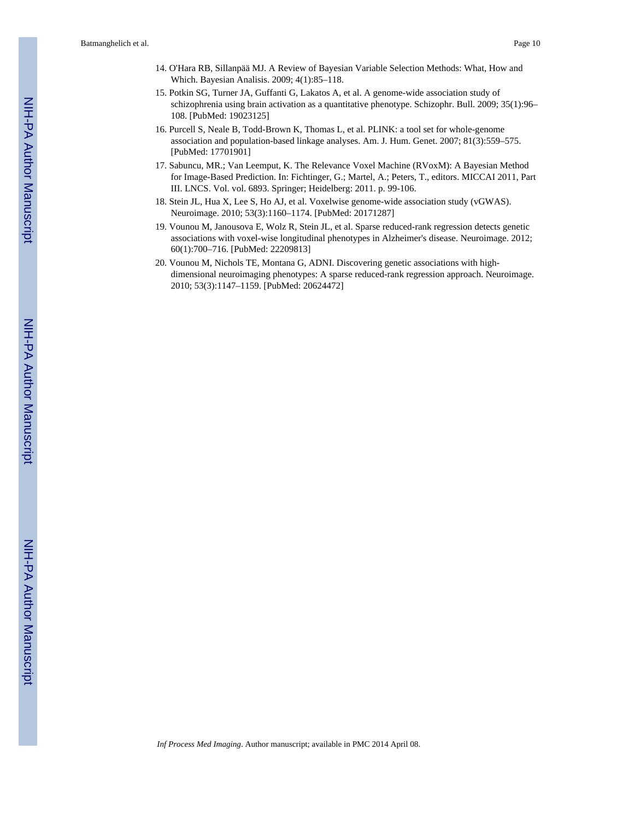- 14. O'Hara RB, Sillanpää MJ. A Review of Bayesian Variable Selection Methods: What, How and Which. Bayesian Analisis. 2009; 4(1):85–118.
- 15. Potkin SG, Turner JA, Guffanti G, Lakatos A, et al. A genome-wide association study of schizophrenia using brain activation as a quantitative phenotype. Schizophr. Bull. 2009; 35(1):96– 108. [PubMed: 19023125]
- 16. Purcell S, Neale B, Todd-Brown K, Thomas L, et al. PLINK: a tool set for whole-genome association and population-based linkage analyses. Am. J. Hum. Genet. 2007; 81(3):559–575. [PubMed: 17701901]
- 17. Sabuncu, MR.; Van Leemput, K. The Relevance Voxel Machine (RVoxM): A Bayesian Method for Image-Based Prediction. In: Fichtinger, G.; Martel, A.; Peters, T., editors. MICCAI 2011, Part III. LNCS. Vol. vol. 6893. Springer; Heidelberg: 2011. p. 99-106.
- 18. Stein JL, Hua X, Lee S, Ho AJ, et al. Voxelwise genome-wide association study (vGWAS). Neuroimage. 2010; 53(3):1160–1174. [PubMed: 20171287]
- 19. Vounou M, Janousova E, Wolz R, Stein JL, et al. Sparse reduced-rank regression detects genetic associations with voxel-wise longitudinal phenotypes in Alzheimer's disease. Neuroimage. 2012; 60(1):700–716. [PubMed: 22209813]
- 20. Vounou M, Nichols TE, Montana G, ADNI. Discovering genetic associations with highdimensional neuroimaging phenotypes: A sparse reduced-rank regression approach. Neuroimage. 2010; 53(3):1147–1159. [PubMed: 20624472]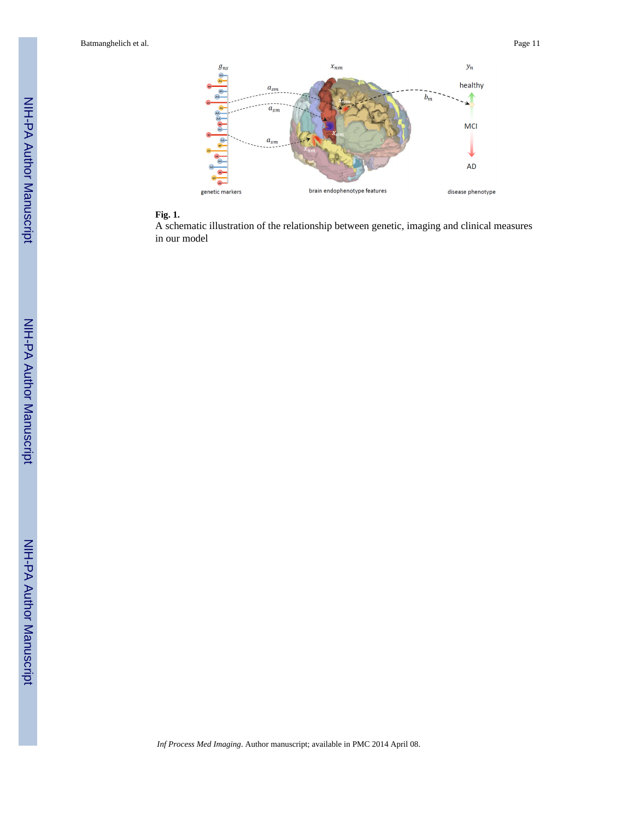

#### **Fig. 1.**

A schematic illustration of the relationship between genetic, imaging and clinical measures in our model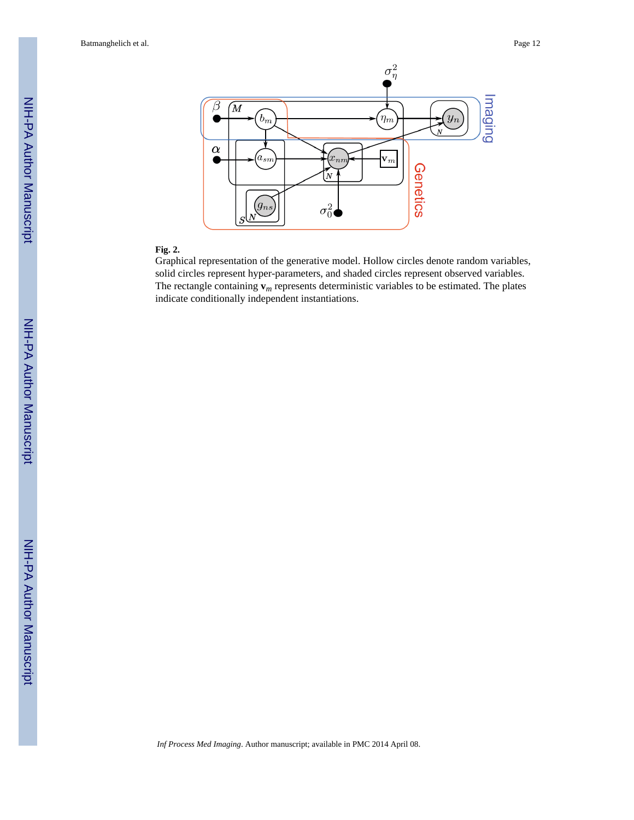

#### **Fig. 2.**

Graphical representation of the generative model. Hollow circles denote random variables, solid circles represent hyper-parameters, and shaded circles represent observed variables. The rectangle containing  $\mathbf{v}_m$  represents deterministic variables to be estimated. The plates indicate conditionally independent instantiations.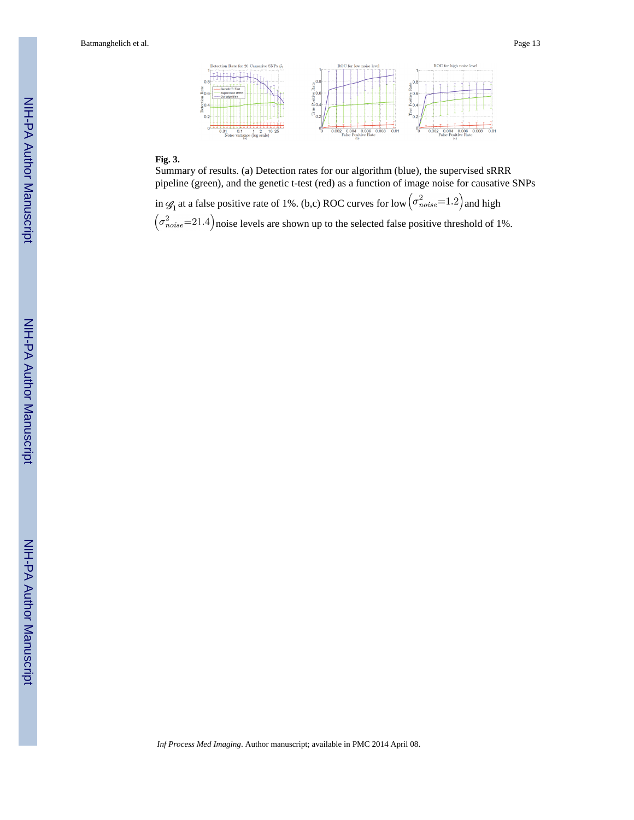

## **Fig. 3.**

Summary of results. (a) Detection rates for our algorithm (blue), the supervised sRRR pipeline (green), and the genetic t-test (red) as a function of image noise for causative SNPs

in  $\mathscr{G}_1$  at a false positive rate of 1%. (b,c) ROC curves for low  $(\sigma^2_{noise} = 1.2)$  and high

 $\left(\sigma_{noise}^2{=}21.4\right)$  noise levels are shown up to the selected false positive threshold of 1%.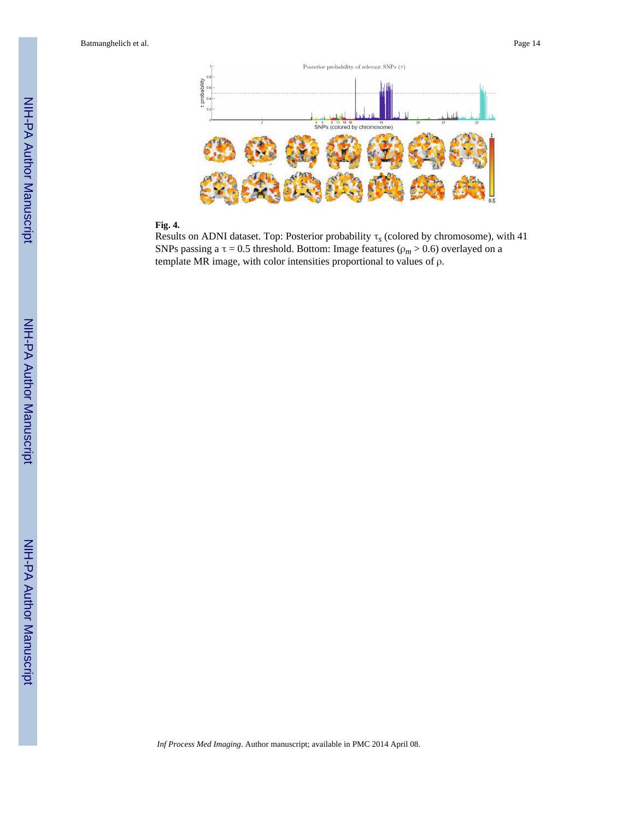

#### **Fig. 4.**

Results on ADNI dataset. Top: Posterior probability τ*<sup>s</sup>* (colored by chromosome), with 41 SNPs passing a  $\tau$  = 0.5 threshold. Bottom: Image features ( $\rho_m$  > 0.6) overlayed on a template MR image, with color intensities proportional to values of ρ.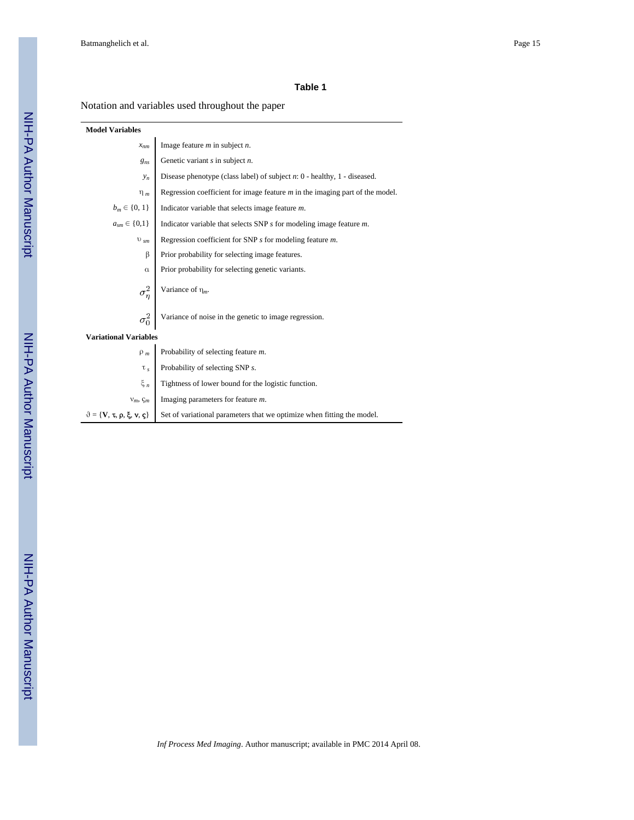#### **Table 1**

### Notation and variables used throughout the paper

| <b>Model Variables</b>                               |                                                                                |  |  |
|------------------------------------------------------|--------------------------------------------------------------------------------|--|--|
| $x_{nm}$                                             | Image feature $m$ in subject $n$ .                                             |  |  |
| $g_{ns}$                                             | Genetic variant $s$ in subject $n$ .                                           |  |  |
| $y_n$                                                | Disease phenotype (class label) of subject $n: 0$ - healthy, 1 - diseased.     |  |  |
| $\eta_m$                                             | Regression coefficient for image feature $m$ in the imaging part of the model. |  |  |
| $b_m \in \{0, 1\}$                                   | Indicator variable that selects image feature m.                               |  |  |
| $a_{\rm sm} \in \{0,1\}$                             | Indicator variable that selects SNP $s$ for modeling image feature $m$ .       |  |  |
| $\upsilon$ $_{sm}$                                   | Regression coefficient for SNP $s$ for modeling feature $m$ .                  |  |  |
| β                                                    | Prior probability for selecting image features.                                |  |  |
| $\alpha$                                             | Prior probability for selecting genetic variants.                              |  |  |
| $\sigma_{\eta}^2$                                    | Variance of $\eta_m$ .                                                         |  |  |
| $\sigma_0^2$                                         | Variance of noise in the genetic to image regression.                          |  |  |
| <b>Variational Variables</b>                         |                                                                                |  |  |
| $\rho_m$                                             | Probability of selecting feature m.                                            |  |  |
| $\tau_s$                                             | Probability of selecting SNP s.                                                |  |  |
| $\xi_n$                                              | Tightness of lower bound for the logistic function.                            |  |  |
| $V_m$ , $\varsigma_m$                                | Imaging parameters for feature $m$ .                                           |  |  |
| $\vartheta = \{V, \tau, \rho, \xi, \nu, \varsigma\}$ | Set of variational parameters that we optimize when fitting the model.         |  |  |